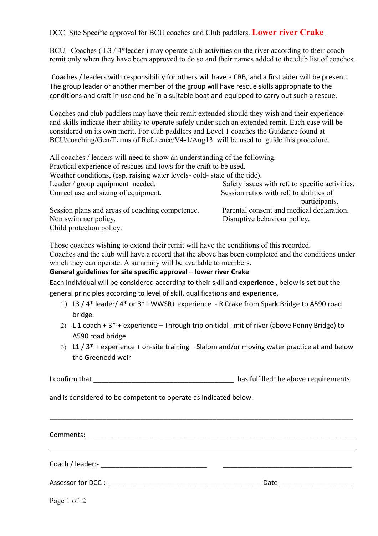## DCC Site Specific approval for BCU coaches and Club paddlers. **Lower river Crake**

BCU Coaches (L3/4\*leader) may operate club activities on the river according to their coach remit only when they have been approved to do so and their names added to the club list of coaches.

Coaches / leaders with responsibility for others will have a CRB, and a first aider will be present. The group leader or another member of the group will have rescue skills appropriate to the conditions and craft in use and be in a suitable boat and equipped to carry out such a rescue.

Coaches and club paddlers may have their remit extended should they wish and their experience and skills indicate their ability to operate safely under such an extended remit. Each case will be considered on its own merit. For club paddlers and Level 1 coaches the Guidance found at BCU/coaching/Gen/Terms of Reference/V4-1/Aug13 will be used to guide this procedure.

All coaches / leaders will need to show an understanding of the following.

Practical experience of rescues and tows for the craft to be used.

Weather conditions, (esp. raising water levels- cold- state of the tide).

| Leader / group equipment needed.                | Safety issues with ref. to specific activities. |
|-------------------------------------------------|-------------------------------------------------|
| Correct use and sizing of equipment.            | Session ratios with ref. to abilities of        |
|                                                 | participants.                                   |
| Session plans and areas of coaching competence. | Parental consent and medical declaration.       |
| Non swimmer policy.                             | Disruptive behaviour policy.                    |
|                                                 |                                                 |

Child protection policy.

Those coaches wishing to extend their remit will have the conditions of this recorded. Coaches and the club will have a record that the above has been completed and the conditions under which they can operate. A summary will be available to members.

## **General guidelines for site specific approval – lower river Crake**

Each individual will be considered according to their skill and **experience** , below is set out the general principles according to level of skill, qualifications and experience.

- 1) L3 / 4\* leader/ 4\* or 3\*+ WWSR+ experience R Crake from Spark Bridge to A590 road bridge.
- 2) L 1 coach  $+3$ <sup>\*</sup> + experience Through trip on tidal limit of river (above Penny Bridge) to A590 road bridge
- 3) L1  $/$  3<sup>\*</sup> + experience + on-site training Slalom and/or moving water practice at and below the Greenodd weir

I confirm that  $\qquad \qquad$  late the above requirements

\_\_\_\_\_\_\_\_\_\_\_\_\_\_\_\_\_\_\_\_\_\_\_\_\_\_\_\_\_\_\_\_\_\_\_\_\_\_\_\_\_\_\_\_\_\_\_\_\_\_\_\_\_\_\_\_\_\_\_\_\_\_\_\_\_\_\_\_\_\_\_\_\_\_\_\_\_\_\_\_

and is considered to be competent to operate as indicated below.

Comments:\_\_\_\_\_\_\_\_\_\_\_\_\_\_\_\_\_\_\_\_\_\_\_\_\_\_\_\_\_\_\_\_\_\_\_\_\_\_\_\_\_\_\_\_\_\_\_\_\_\_\_\_\_\_\_\_\_\_\_\_\_\_\_\_\_\_\_\_\_\_\_

Coach / leader:- \_\_\_\_\_\_\_\_\_\_\_\_\_\_\_\_\_\_\_\_\_\_\_\_\_\_\_\_ \_\_\_\_\_\_\_\_\_\_\_\_\_\_\_\_\_\_\_\_\_\_\_\_\_\_\_\_\_\_\_\_\_\_

Assessor for DCC :- example and the set of the set of the Date of the Date  $\Box$ 

Page 1 of 2